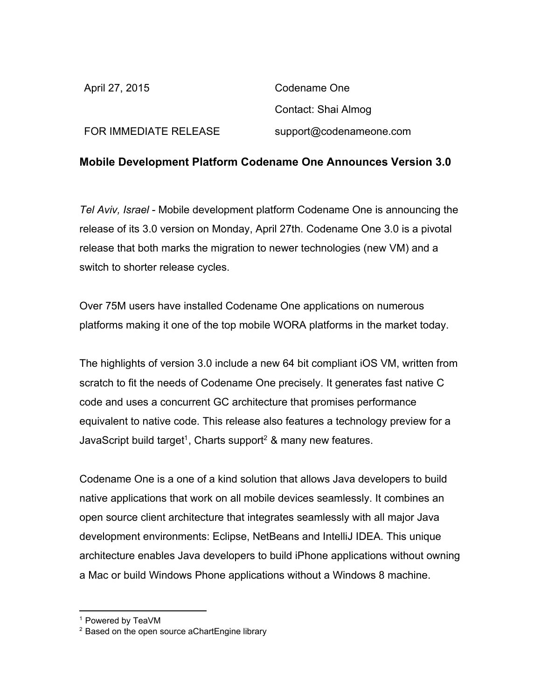| April 27, 2015               | Codename One            |
|------------------------------|-------------------------|
|                              | Contact: Shai Almog     |
| <b>FOR IMMEDIATE RELEASE</b> | support@codenameone.com |

## **Mobile Development Platform Codename One Announces Version 3.0**

*Tel Aviv, Israel* Mobile development platform Codename One is announcing the release of its 3.0 version on Monday, April 27th. Codename One 3.0 is a pivotal release that both marks the migration to newer technologies (new VM) and a switch to shorter release cycles.

Over 75M users have installed Codename One applications on numerous platforms making it one of the top mobile WORA platforms in the market today.

The highlights of version 3.0 include a new 64 bit compliant iOS VM, written from scratch to fit the needs of Codename One precisely. It generates fast native C code and uses a concurrent GC architecture that promises performance equivalent to native code. This release also features a technology preview for a JavaScript build target<sup>1</sup>, Charts support<sup>2</sup> & many new features.

Codename One is a one of a kind solution that allows Java developers to build native applications that work on all mobile devices seamlessly. It combines an open source client architecture that integrates seamlessly with all major Java development environments: Eclipse, NetBeans and IntelliJ IDEA. This unique architecture enables Java developers to build iPhone applications without owning a Mac or build Windows Phone applications without a Windows 8 machine.

<sup>1</sup> Powered by TeaVM

<sup>&</sup>lt;sup>2</sup> Based on the open source aChartEngine library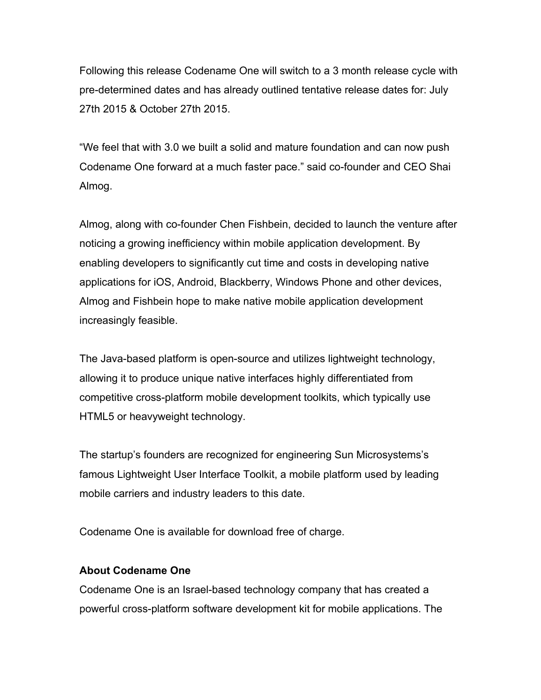Following this release Codename One will switch to a 3 month release cycle with predetermined dates and has already outlined tentative release dates for: July 27th 2015 & October 27th 2015.

"We feel that with 3.0 we built a solid and mature foundation and can now push Codename One forward at a much faster pace." said co-founder and CEO Shai Almog.

Almog, along with co-founder Chen Fishbein, decided to launch the venture after noticing a growing inefficiency within mobile application development. By enabling developers to significantly cut time and costs in developing native applications for iOS, Android, Blackberry, Windows Phone and other devices, Almog and Fishbein hope to make native mobile application development increasingly feasible.

The Java-based platform is open-source and utilizes lightweight technology, allowing it to produce unique native interfaces highly differentiated from competitive cross-platform mobile development toolkits, which typically use HTML5 or heavyweight technology.

The startup's founders are recognized for engineering Sun Microsystems's famous Lightweight User Interface Toolkit, a mobile platform used by leading mobile carriers and industry leaders to this date.

Codename One is available for download free of charge.

## **About Codename One**

Codename One is an Israel-based technology company that has created a powerful cross-platform software development kit for mobile applications. The